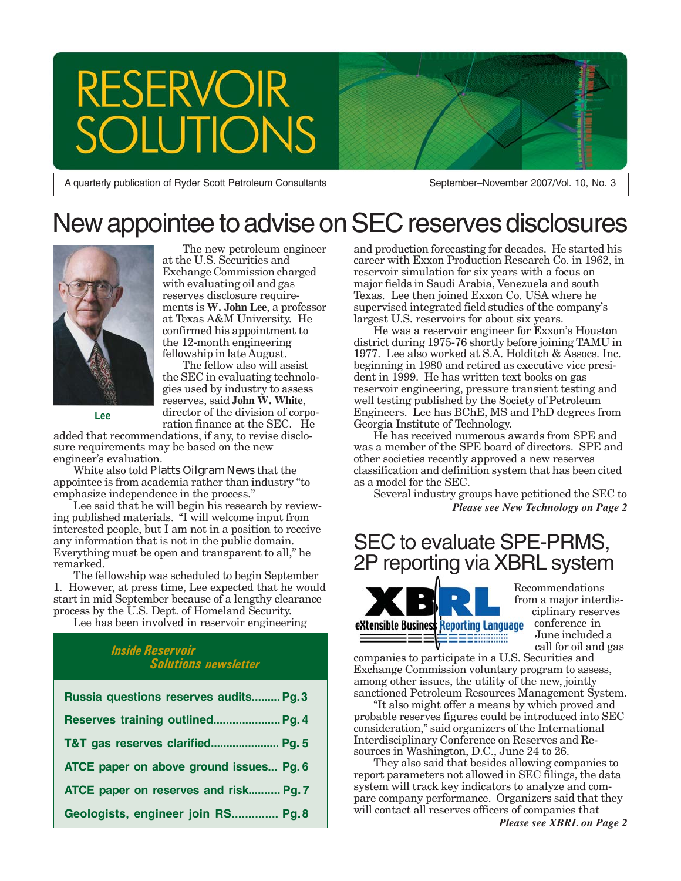# RESERVOIR **TON**

A quarterly publication of Ryder Scott Petroleum Consultants

September–November 2007/Vol. 10, No. 3

# New appointee to advise on SEC reserves disclosures



**Lee**

The new petroleum engineer at the U.S. Securities and Exchange Commission charged with evaluating oil and gas reserves disclosure requirements is **W. John Lee**, a professor at Texas A&M University. He confirmed his appointment to the 12-month engineering fellowship in late August.

The fellow also will assist the SEC in evaluating technologies used by industry to assess reserves, said **John W. White**, director of the division of corporation finance at the SEC. He

added that recommendations, if any, to revise disclosure requirements may be based on the new engineer's evaluation.

White also told *Platts Oilgram News* that the appointee is from academia rather than industry "to emphasize independence in the process."

Lee said that he will begin his research by reviewing published materials. "I will welcome input from interested people, but I am not in a position to receive any information that is not in the public domain. Everything must be open and transparent to all," he remarked.

The fellowship was scheduled to begin September 1. However, at press time, Lee expected that he would start in mid September because of a lengthy clearance process by the U.S. Dept. of Homeland Security.

Lee has been involved in reservoir engineering

### *Inside Reservoir Solutions newsletter*

| Russia questions reserves audits Pg. 3  |
|-----------------------------------------|
| Reserves training outlined Pg. 4        |
| T&T gas reserves clarified Pg. 5        |
| ATCE paper on above ground issues Pg. 6 |
| ATCE paper on reserves and risk Pg. 7   |
| Geologists, engineer join RS Pg.8       |

and production forecasting for decades. He started his career with Exxon Production Research Co. in 1962, in reservoir simulation for six years with a focus on major fields in Saudi Arabia, Venezuela and south Texas. Lee then joined Exxon Co. USA where he supervised integrated field studies of the company's largest U.S. reservoirs for about six years.

He was a reservoir engineer for Exxon's Houston district during 1975-76 shortly before joining TAMU in 1977. Lee also worked at S.A. Holditch & Assocs. Inc. beginning in 1980 and retired as executive vice president in 1999. He has written text books on gas reservoir engineering, pressure transient testing and well testing published by the Society of Petroleum Engineers. Lee has BChE, MS and PhD degrees from Georgia Institute of Technology.

Shift from Houston as tech center as a model for the SEC. He has received numerous awards from SPE and was a member of the SPE board of directors. SPE and other societies recently approved a new reserves classification and definition system that has been cited

Several industry groups have petitioned the SEC to<br>Plass see New Technology on Page 2 *Please see New Technology on Page 2*

### SEC to evaluate SPE-PRMS, 2P reporting via XBRL system



Recommendations from a major interdisciplinary reserves conference in June included a call for oil and gas

companies to participate in a U.S. Securities and Exchange Commission voluntary program to assess, among other issues, the utility of the new, jointly sanctioned Petroleum Resources Management System.

"It also might offer a means by which proved and probable reserves figures could be introduced into SEC consideration," said organizers of the International Interdisciplinary Conference on Reserves and Resources in Washington, D.C., June 24 to 26.

They also said that besides allowing companies to report parameters not allowed in SEC filings, the data system will track key indicators to analyze and compare company performance. Organizers said that they will contact all reserves officers of companies that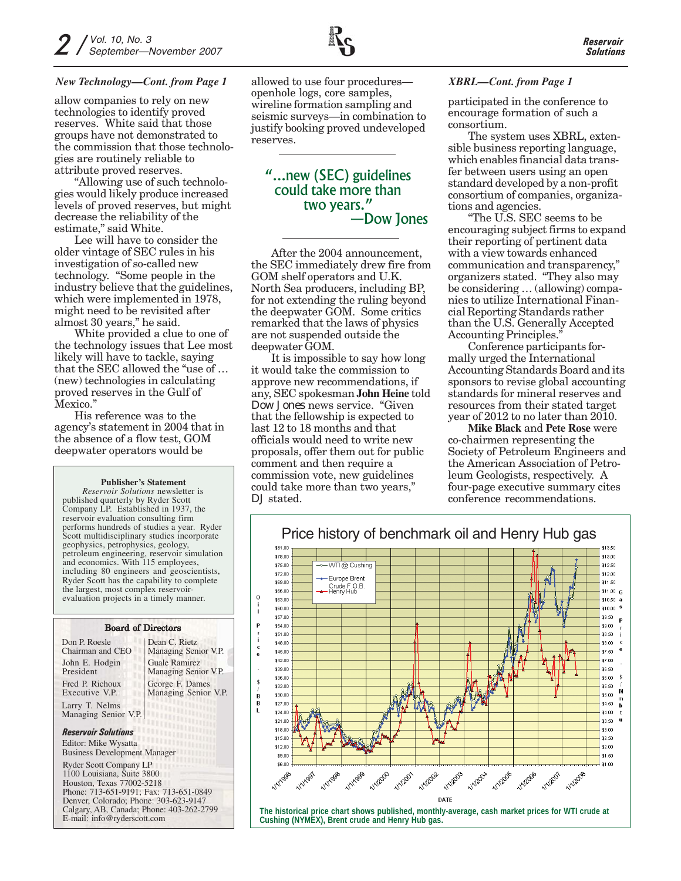#### *New Technology—Cont. from Page 1* allowed to use four procedures— *XBRL—Cont. from Page 1*

allow companies to rely on new technologies to identify proved reserves. White said that those groups have not demonstrated to the commission that those technologies are routinely reliable to attribute proved reserves.

"Allowing use of such technologies would likely produce increased levels of proved reserves, but might decrease the reliability of the estimate," said White.

Lee will have to consider the older vintage of SEC rules in his investigation of so-called new technology. "Some people in the industry believe that the guidelines, which were implemented in 1978, might need to be revisited after almost 30 years," he said.

White provided a clue to one of the technology issues that Lee most likely will have to tackle, saying that the SEC allowed the "use of … (new) technologies in calculating proved reserves in the Gulf of Mexico."

His reference was to the agency's statement in 2004 that in the absence of a flow test, GOM deepwater operators would be

#### **Publisher's Statement**

*Reservoir Solutions* newsletter is published quarterly by Ryder Scott Company LP. Established in 1937, the reservoir evaluation consulting firm performs hundreds of studies a year. Ryder Scott multidisciplinary studies incorporate geophysics, petrophysics, geology, petroleum engineering, reservoir simulation and economics. With 115 employees, including 80 engineers and geoscientists, Ryder Scott has the capability to complete the largest, most complex reservoirevaluation projects in a timely manner.

#### Board of Directors

| Don P. Roesle<br>Chairman and CEO                           | Dean C. Rietz<br>Managing Senior V.P.        |
|-------------------------------------------------------------|----------------------------------------------|
| John E. Hodgin<br>President                                 | <b>Guale Ramirez</b><br>Managing Senior V.P. |
| Fred P. Richoux<br>Executive V.P.                           | George F. Dames<br>Managing Senior V.P.      |
| Larry T. Nelms<br>Managing Senior V.P.                      | <b>Littuar</b>                               |
| <b>Reservoir Solutions</b>                                  | m<br>шш                                      |
| Editor: Mike Wysatta<br><b>Business Development Manager</b> |                                              |
| $P_1$ $P_2$ $P_3$                                           |                                              |

Ryder Scott Company LP 1100 Louisiana, Suite 3800 Houston, Texas 77002-5218 Phone: 713-651-9191; Fax: 713-651-0849 Denver, Colorado; Phone: 303-623-9147 Calgary, AB, Canada; Phone: 403-262-2799 E-mail: info@ryderscott.com

allowed to use four procedures openhole logs, core samples, wireline formation sampling and seismic surveys—in combination to justify booking proved undeveloped reserves.

### "...new (SEC) guidelines could take more than two years." —Dow Jones

After the 2004 announcement, the SEC immediately drew fire from GOM shelf operators and U.K. North Sea producers, including BP, for not extending the ruling beyond the deepwater GOM. Some critics remarked that the laws of physics are not suspended outside the deepwater GOM.

It is impossible to say how long it would take the commission to approve new recommendations, if any, SEC spokesman **John Heine** told *Dow Jones* news service. "Given that the fellowship is expected to last 12 to 18 months and that officials would need to write new proposals, offer them out for public comment and then require a commission vote, new guidelines could take more than two years," *DJ* stated.

participated in the conference to encourage formation of such a consortium.

The system uses XBRL, extensible business reporting language, which enables financial data transfer between users using an open standard developed by a non-profit consortium of companies, organizations and agencies.

"The U.S. SEC seems to be encouraging subject firms to expand their reporting of pertinent data with a view towards enhanced communication and transparency," organizers stated. "They also may be considering … (allowing) companies to utilize International Financial Reporting Standards rather than the U.S. Generally Accepted Accounting Principles."

Conference participants formally urged the International Accounting Standards Board and its sponsors to revise global accounting standards for mineral reserves and resources from their stated target year of 2012 to no later than 2010.

**Mike Black** and **Pete Rose** were co-chairmen representing the Society of Petroleum Engineers and the American Association of Petroleum Geologists, respectively. A four-page executive summary cites conference recommendations.

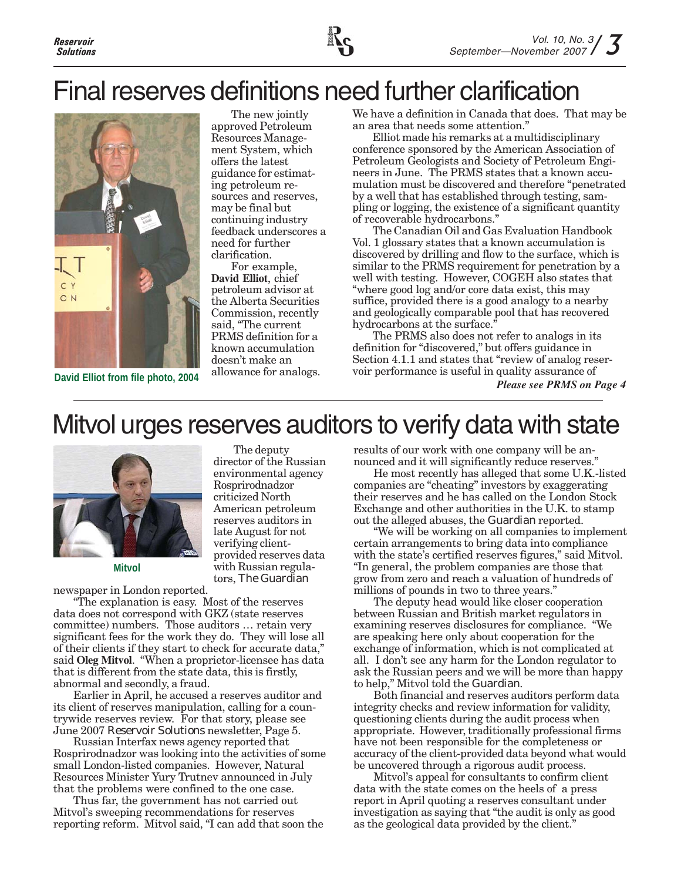

# Final reserves definitions need further clarification



The new jointly approved Petroleum Resources Management System, which offers the latest guidance for estimating petroleum resources and reserves, may be final but continuing industry feedback underscores a need for further clarification.

For example, **David Elliot**, chief petroleum advisor at the Alberta Securities Commission, recently said, "The current PRMS definition for a known accumulation doesn't make an

The deputy director of the Russian environmental agency Rosprirodnadzor criticized North American petroleum reserves auditors in late August for not verifying clientprovided reserves data with Russian regulators, *The Guardian*

We have a definition in Canada that does. That may be an area that needs some attention."

Elliot made his remarks at a multidisciplinary conference sponsored by the American Association of Petroleum Geologists and Society of Petroleum Engineers in June. The PRMS states that a known accumulation must be discovered and therefore "penetrated by a well that has established through testing, sampling or logging, the existence of a significant quantity of recoverable hydrocarbons."

The Canadian Oil and Gas Evaluation Handbook Vol. 1 glossary states that a known accumulation is discovered by drilling and flow to the surface, which is similar to the PRMS requirement for penetration by a well with testing. However, COGEH also states that "where good log and/or core data exist, this may suffice, provided there is a good analogy to a nearby and geologically comparable pool that has recovered hydrocarbons at the surface."

The PRMS also does not refer to analogs in its definition for "discovered," but offers guidance in Section 4.1.1 and states that "review of analog reservoir performance is useful in quality assurance of

*Please see PRMS on Page 4*

# Mitvol urges reserves auditors to verify data with state



**Mitvol**

newspaper in London reported.

"The explanation is easy. Most of the reserves data does not correspond with GKZ (state reserves committee) numbers. Those auditors … retain very significant fees for the work they do. They will lose all of their clients if they start to check for accurate data," said **Oleg Mitvol**. "When a proprietor-licensee has data that is different from the state data, this is firstly, abnormal and secondly, a fraud.

Earlier in April, he accused a reserves auditor and its client of reserves manipulation, calling for a countrywide reserves review. For that story, please see June 2007 *Reservoir Solutions* newsletter, Page 5.

Russian Interfax news agency reported that Rosprirodnadzor was looking into the activities of some small London-listed companies. However, Natural Resources Minister Yury Trutnev announced in July that the problems were confined to the one case.

Thus far, the government has not carried out Mitvol's sweeping recommendations for reserves reporting reform. Mitvol said, "I can add that soon the results of our work with one company will be announced and it will significantly reduce reserves."

He most recently has alleged that some U.K.-listed companies are "cheating" investors by exaggerating their reserves and he has called on the London Stock Exchange and other authorities in the U.K. to stamp out the alleged abuses, the *Guardian* reported.

"We will be working on all companies to implement certain arrangements to bring data into compliance with the state's certified reserves figures," said Mitvol. "In general, the problem companies are those that grow from zero and reach a valuation of hundreds of millions of pounds in two to three years."

The deputy head would like closer cooperation between Russian and British market regulators in examining reserves disclosures for compliance. "We are speaking here only about cooperation for the exchange of information, which is not complicated at all. I don't see any harm for the London regulator to ask the Russian peers and we will be more than happy to help," Mitvol told the *Guardian*.

Both financial and reserves auditors perform data integrity checks and review information for validity, questioning clients during the audit process when appropriate. However, traditionally professional firms have not been responsible for the completeness or accuracy of the client-provided data beyond what would be uncovered through a rigorous audit process.

Mitvol's appeal for consultants to confirm client data with the state comes on the heels of a press report in April quoting a reserves consultant under investigation as saying that "the audit is only as good as the geological data provided by the client."

allowance for analogs. **David Elliot from file photo, 2004**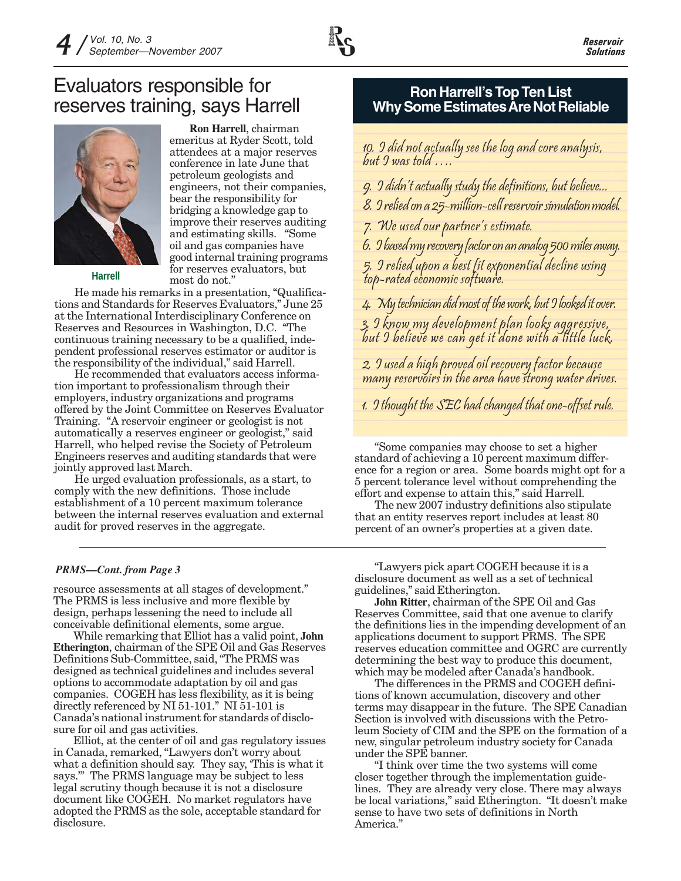

### Evaluators responsible for reserves training, says Harrell



**Harrell**

**Ron Harrell**, chairman emeritus at Ryder Scott, told attendees at a major reserves conference in late June that petroleum geologists and engineers, not their companies, bear the responsibility for bridging a knowledge gap to improve their reserves auditing and estimating skills. "Some oil and gas companies have good internal training programs for reserves evaluators, but most do not."

He made his remarks in a presentation, "Qualifications and Standards for Reserves Evaluators," June 25 at the International Interdisciplinary Conference on Reserves and Resources in Washington, D.C. "The continuous training necessary to be a qualified, independent professional reserves estimator or auditor is the responsibility of the individual," said Harrell.

He recommended that evaluators access information important to professionalism through their employers, industry organizations and programs offered by the Joint Committee on Reserves Evaluator Training. "A reservoir engineer or geologist is not automatically a reserves engineer or geologist," said Harrell, who helped revise the Society of Petroleum Engineers reserves and auditing standards that were jointly approved last March.

He urged evaluation professionals, as a start, to comply with the new definitions. Those include establishment of a 10 percent maximum tolerance between the internal reserves evaluation and external audit for proved reserves in the aggregate.

#### *PRMS—Cont. from Page 3*

resource assessments at all stages of development." The PRMS is less inclusive and more flexible by design, perhaps lessening the need to include all conceivable definitional elements, some argue.

While remarking that Elliot has a valid point, **John Etherington**, chairman of the SPE Oil and Gas Reserves Definitions Sub-Committee, said, "The PRMS was designed as technical guidelines and includes several options to accommodate adaptation by oil and gas companies. COGEH has less flexibility, as it is being directly referenced by NI 51-101." NI 51-101 is Canada's national instrument for standards of disclosure for oil and gas activities.

Elliot, at the center of oil and gas regulatory issues in Canada, remarked, "Lawyers don't worry about what a definition should say. They say, 'This is what it says.'" The PRMS language may be subject to less legal scrutiny though because it is not a disclosure document like COGEH. No market regulators have adopted the PRMS as the sole, acceptable standard for disclosure.

### **Ron Harrell's Top Ten List Why Some Estimates Are Not Reliable**

10. I did not actually see the log and core analysis, but I was told ….

- 9. I didn't actually study the definitions, but believe...
- 8. I relied on a 25-million-cell reservoir simulation model.

7. We used our partner's estimate.

6. I based my recovery factor on an analog 500 miles away.

5. I relied upon a best fit exponential decline using top-rated economic software.

4. My technician did most of the work, but I looked it over. 3. I know my development plan looks aggressive, but I believe we can get it done with a little luck.

2. I used a high proved oil recovery factor because many reservoirs in the area have strong water drives.

1. I thought the SEC had changed that one-offset rule.

"Some companies may choose to set a higher standard of achieving a 10 percent maximum difference for a region or area. Some boards might opt for a 5 percent tolerance level without comprehending the effort and expense to attain this," said Harrell.

The new 2007 industry definitions also stipulate that an entity reserves report includes at least 80 percent of an owner's properties at a given date.

"Lawyers pick apart COGEH because it is a disclosure document as well as a set of technical guidelines," said Etherington.

**John Ritter**, chairman of the SPE Oil and Gas Reserves Committee, said that one avenue to clarify the definitions lies in the impending development of an applications document to support PRMS. The SPE reserves education committee and OGRC are currently determining the best way to produce this document, which may be modeled after Canada's handbook.

The differences in the PRMS and COGEH definitions of known accumulation, discovery and other terms may disappear in the future. The SPE Canadian Section is involved with discussions with the Petroleum Society of CIM and the SPE on the formation of a new, singular petroleum industry society for Canada under the SPE banner.

"I think over time the two systems will come closer together through the implementation guidelines. They are already very close. There may always be local variations," said Etherington. "It doesn't make sense to have two sets of definitions in North America."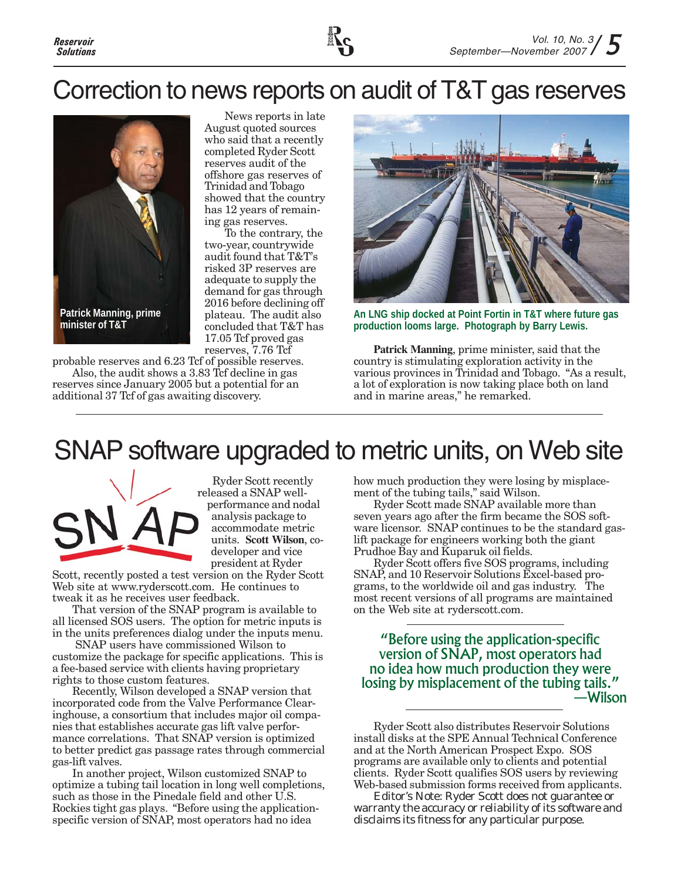

## Correction to news reports on audit of T&T gas reserves



News reports in late August quoted sources who said that a recently completed Ryder Scott reserves audit of the offshore gas reserves of Trinidad and Tobago showed that the country has 12 years of remaining gas reserves.

To the contrary, the two-year, countrywide audit found that T&T's risked 3P reserves are adequate to supply the demand for gas through 2016 before declining off plateau. The audit also concluded that T&T has 17.05 Tcf proved gas reserves, 7.76 Tcf

probable reserves and 6.23 Tcf of possible reserves. Also, the audit shows a 3.83 Tcf decline in gas reserves since January 2005 but a potential for an

additional 37 Tcf of gas awaiting discovery.



**An LNG ship docked at Point Fortin in T&T where future gas production looms large. Photograph by Barry Lewis.**

**Patrick Manning**, prime minister, said that the country is stimulating exploration activity in the various provinces in Trinidad and Tobago. "As a result, a lot of exploration is now taking place both on land and in marine areas," he remarked.

# SNAP software upgraded to metric units, on Web site



Ryder Scott recently released a SNAP wellperformance and nodal analysis package to accommodate metric units. **Scott Wilson**, codeveloper and vice president at Ryder

Scott, recently posted a test version on the Ryder Scott Web site at www.ryderscott.com. He continues to tweak it as he receives user feedback.

That version of the SNAP program is available to all licensed SOS users. The option for metric inputs is in the units preferences dialog under the inputs menu.

 SNAP users have commissioned Wilson to customize the package for specific applications. This is a fee-based service with clients having proprietary rights to those custom features.

Recently, Wilson developed a SNAP version that incorporated code from the Valve Performance Clearinghouse, a consortium that includes major oil companies that establishes accurate gas lift valve performance correlations. That SNAP version is optimized to better predict gas passage rates through commercial gas-lift valves.

In another project, Wilson customized SNAP to optimize a tubing tail location in long well completions, such as those in the Pinedale field and other U.S. Rockies tight gas plays. "Before using the applicationspecific version of SNAP, most operators had no idea

how much production they were losing by misplacement of the tubing tails," said Wilson.

Ryder Scott made SNAP available more than seven years ago after the firm became the SOS software licensor. SNAP continues to be the standard gaslift package for engineers working both the giant Prudhoe Bay and Kuparuk oil fields.

Ryder Scott offers five SOS programs, including SNAP, and 10 Reservoir Solutions Excel-based programs, to the worldwide oil and gas industry. The most recent versions of all programs are maintained on the Web site at ryderscott.com.

"Before using the application-specific version of SNAP, most operators had no idea how much production they were losing by misplacement of the tubing tails." —Wilson

Ryder Scott also distributes Reservoir Solutions install disks at the SPE Annual Technical Conference and at the North American Prospect Expo. SOS programs are available only to clients and potential clients. Ryder Scott qualifies SOS users by reviewing Web-based submission forms received from applicants.

*Editor's Note: Ryder Scott does not guarantee or warranty the accuracy or reliability of its software and disclaims its fitness for any particular purpose.*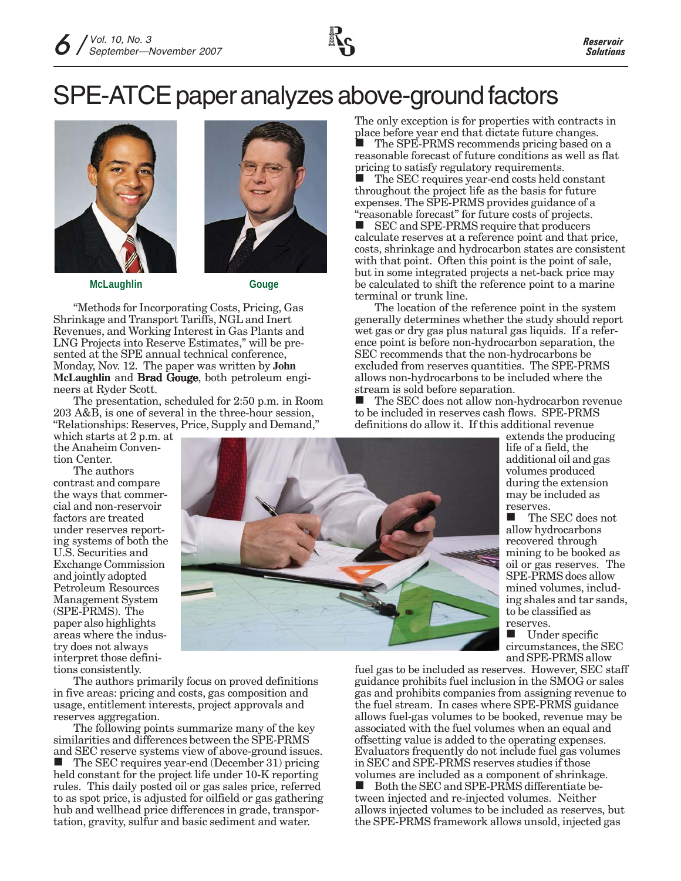# SPE-ATCE paper analyzes above-ground factors



**McLaughlin Gouge**



"Methods for Incorporating Costs, Pricing, Gas Shrinkage and Transport Tariffs, NGL and Inert Revenues, and Working Interest in Gas Plants and LNG Projects into Reserve Estimates," will be presented at the SPE annual technical conference, Monday, Nov. 12. The paper was written by **John McLaughlin and Brad Gouge**, both petroleum engineers at Ryder Scott.

The presentation, scheduled for 2:50 p.m. in Room 203 A&B, is one of several in the three-hour session, "Relationships: Reserves, Price, Supply and Demand,"

which starts at 2 p.m. at the Anaheim Convention Center.

The authors contrast and compare the ways that commercial and non-reservoir factors are treated under reserves reporting systems of both the U.S. Securities and Exchange Commission and jointly adopted Petroleum Resources Management System (SPE-PRMS). The paper also highlights areas where the industry does not always interpret those definitions consistently.

The authors primarily focus on proved definitions in five areas: pricing and costs, gas composition and usage, entitlement interests, project approvals and reserves aggregation.

The following points summarize many of the key similarities and differences between the SPE-PRMS and SEC reserve systems view of above-ground issues. The SEC requires year-end (December 31) pricing held constant for the project life under 10-K reporting rules. This daily posted oil or gas sales price, referred to as spot price, is adjusted for oilfield or gas gathering hub and wellhead price differences in grade, transportation, gravity, sulfur and basic sediment and water.

The only exception is for properties with contracts in place before year end that dictate future changes.

 The SPE-PRMS recommends pricing based on a reasonable forecast of future conditions as well as flat pricing to satisfy regulatory requirements.

 The SEC requires year-end costs held constant throughout the project life as the basis for future expenses. The SPE-PRMS provides guidance of a "reasonable forecast" for future costs of projects.

■ SEC and SPE-PRMS require that producers calculate reserves at a reference point and that price, costs, shrinkage and hydrocarbon states are consistent with that point. Often this point is the point of sale, but in some integrated projects a net-back price may be calculated to shift the reference point to a marine terminal or trunk line.

The location of the reference point in the system generally determines whether the study should report wet gas or dry gas plus natural gas liquids. If a reference point is before non-hydrocarbon separation, the SEC recommends that the non-hydrocarbons be excluded from reserves quantities. The SPE-PRMS allows non-hydrocarbons to be included where the stream is sold before separation.

■ The SEC does not allow non-hydrocarbon revenue to be included in reserves cash flows. SPE-PRMS definitions do allow it. If this additional revenue

> extends the producing life of a field, the additional oil and gas volumes produced during the extension may be included as reserves.

 The SEC does not allow hydrocarbons recovered through mining to be booked as oil or gas reserves. The SPE-PRMS does allow mined volumes, including shales and tar sands, to be classified as reserves.

 Under specific circumstances, the SEC and SPE-PRMS allow

fuel gas to be included as reserves. However, SEC staff guidance prohibits fuel inclusion in the SMOG or sales gas and prohibits companies from assigning revenue to the fuel stream. In cases where SPE-PRMS guidance allows fuel-gas volumes to be booked, revenue may be associated with the fuel volumes when an equal and offsetting value is added to the operating expenses. Evaluators frequently do not include fuel gas volumes in SEC and SPE-PRMS reserves studies if those volumes are included as a component of shrinkage.

Both the SEC and SPE-PRMS differentiate between injected and re-injected volumes. Neither allows injected volumes to be included as reserves, but the SPE-PRMS framework allows unsold, injected gas

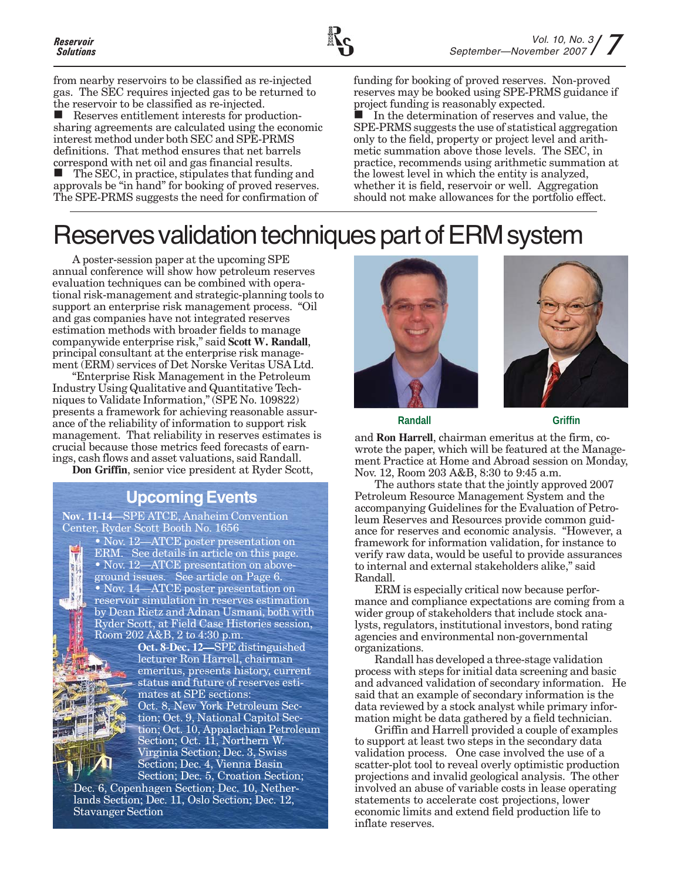from nearby reservoirs to be classified as re-injected gas. The SEC requires injected gas to be returned to the reservoir to be classified as re-injected. Reserves entitlement interests for productionsharing agreements are calculated using the economic interest method under both SEC and SPE-PRMS definitions. That method ensures that net barrels correspond with net oil and gas financial results. The SEC, in practice, stipulates that funding and approvals be "in hand" for booking of proved reserves. The SPE-PRMS suggests the need for confirmation of

funding for booking of proved reserves. Non-proved reserves may be booked using SPE-PRMS guidance if project funding is reasonably expected.

 In the determination of reserves and value, the SPE-PRMS suggests the use of statistical aggregation only to the field, property or project level and arithmetic summation above those levels. The SEC, in practice, recommends using arithmetic summation at the lowest level in which the entity is analyzed, whether it is field, reservoir or well. Aggregation should not make allowances for the portfolio effect.

# Reserves validation techniques part of ERM system

A poster-session paper at the upcoming SPE annual conference will show how petroleum reserves evaluation techniques can be combined with operational risk-management and strategic-planning tools to support an enterprise risk management process. "Oil and gas companies have not integrated reserves estimation methods with broader fields to manage companywide enterprise risk," said **Scott W. Randall**, principal consultant at the enterprise risk management (ERM) services of Det Norske Veritas USA Ltd.

"Enterprise Risk Management in the Petroleum Industry Using Qualitative and Quantitative Techniques to Validate Information," (SPE No. 109822) presents a framework for achieving reasonable assurance of the reliability of information to support risk management. That reliability in reserves estimates is crucial because those metrics feed forecasts of earnings, cash flows and asset valuations, said Randall.

**Don Griffin**, senior vice president at Ryder Scott,

### **Upcoming Events**

**Nov. 11-14**—SPE ATCE, Anaheim Convention Center, Ryder Scott Booth No. 1656

> • Nov. 12—ATCE poster presentation on ERM. See details in article on this page. • Nov. 12—ATCE presentation on aboveground issues. See article on Page 6. • Nov. 14—ATCE poster presentation on reservoir simulation in reserves estimation by Dean Rietz and Adnan Usmani, both with Ryder Scott, at Field Case Histories session, Room 202 A&B, 2 to 4:30 p.m.



**Oct. 8-Dec. 12—SPE distinguished** lecturer Ron Harrell, chairman emeritus, presents history, current status and future of reserves estimates at SPE sections:

Oct. 8, New York Petroleum Section; Oct. 9, National Capitol Section; Oct. 10, Appalachian Petroleum Section; Oct. 11, Northern W. Virginia Section; Dec. 3, Swiss Section; Dec. 4, Vienna Basin Section; Dec. 5, Croation Section;

Dec. 6, Copenhagen Section; Dec. 10, Netherlands Section; Dec. 11, Oslo Section; Dec. 12, Stavanger Section





**Randall** Griffin

and **Ron Harrell**, chairman emeritus at the firm, cowrote the paper, which will be featured at the Management Practice at Home and Abroad session on Monday, Nov. 12, Room 203 A&B, 8:30 to 9:45 a.m.

The authors state that the jointly approved 2007 Petroleum Resource Management System and the accompanying Guidelines for the Evaluation of Petroleum Reserves and Resources provide common guidance for reserves and economic analysis. "However, a framework for information validation, for instance to verify raw data, would be useful to provide assurances to internal and external stakeholders alike," said Randall.

ERM is especially critical now because performance and compliance expectations are coming from a wider group of stakeholders that include stock analysts, regulators, institutional investors, bond rating agencies and environmental non-governmental organizations.

Randall has developed a three-stage validation process with steps for initial data screening and basic and advanced validation of secondary information. He said that an example of secondary information is the data reviewed by a stock analyst while primary information might be data gathered by a field technician.

Griffin and Harrell provided a couple of examples to support at least two steps in the secondary data validation process. One case involved the use of a scatter-plot tool to reveal overly optimistic production projections and invalid geological analysis. The other involved an abuse of variable costs in lease operating statements to accelerate cost projections, lower economic limits and extend field production life to inflate reserves.